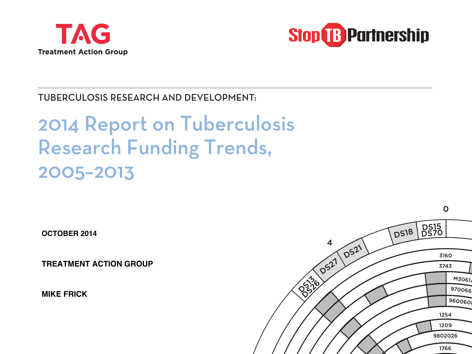



TUBERCULOSIS RESEARCH AND DEVELOPMENT:

# 2014 Report on Tuberculosis Research Funding Trends, 2005–2013

**OCTOBER 2014**

**TREATMENT ACTION GROUP**

**MIKE FRICK**

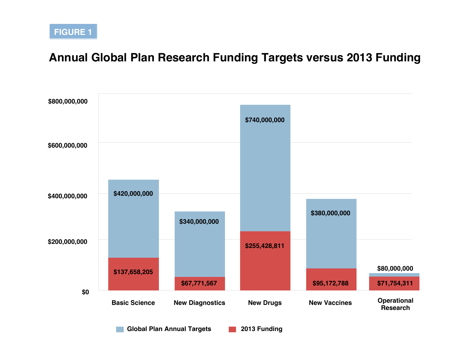## **Annual Global Plan Research Funding Targets versus 2013 Funding**



**Global Plan Annual Targets 2013 Funding**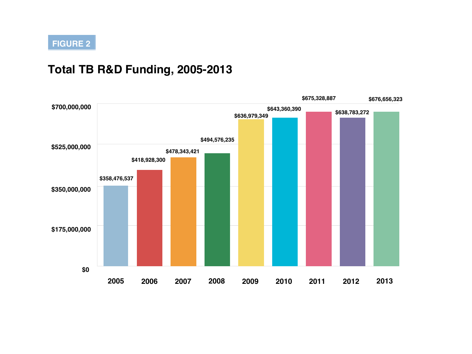## **Total TB R&D Funding, 2005-2013**

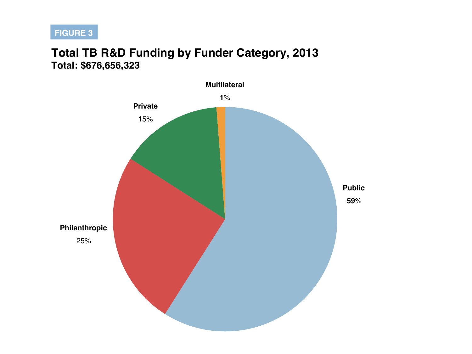## **Total TB R&D Funding by Funder Category, 2013 Total: \$676,656,323**

![](_page_3_Figure_2.jpeg)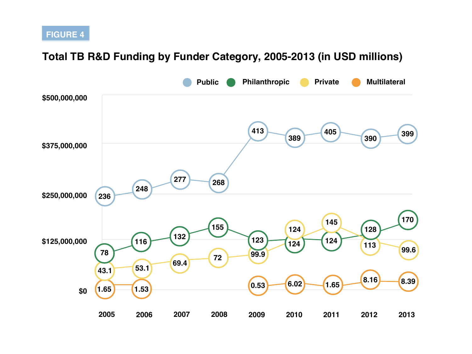#### **Total TB R&D Funding by Funder Category, 2005-2013 (in USD millions)**

![](_page_4_Figure_2.jpeg)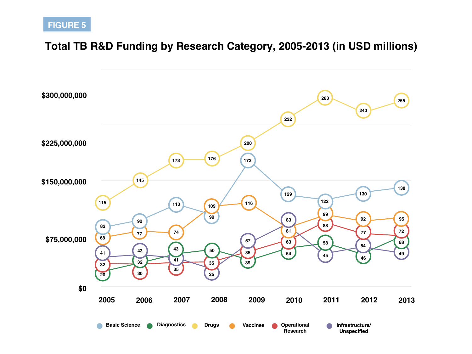## **Total TB R&D Funding by Research Category, 2005-2013 (in USD millions)**

![](_page_5_Figure_2.jpeg)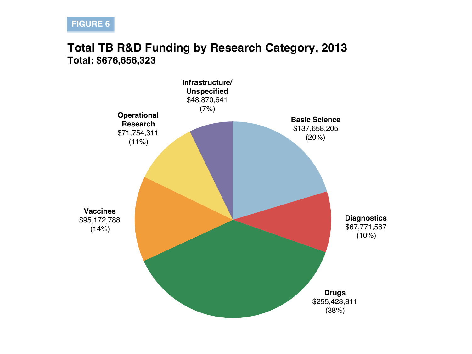## **Total TB R&D Funding by Research Category, 2013 Total: \$676,656,323**

![](_page_6_Figure_2.jpeg)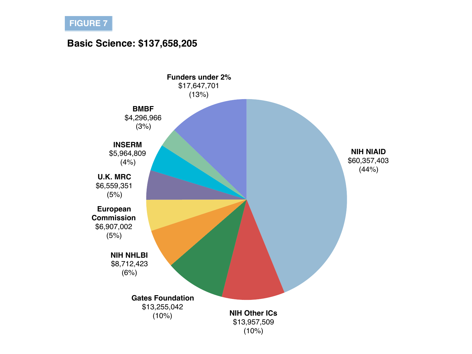#### **Basic Science: \$137,658,205**

![](_page_7_Figure_2.jpeg)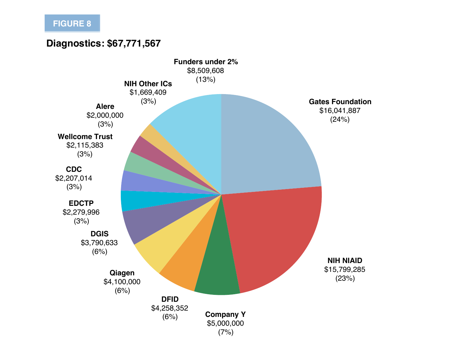#### **Diagnostics: \$67,771,567**

![](_page_8_Figure_2.jpeg)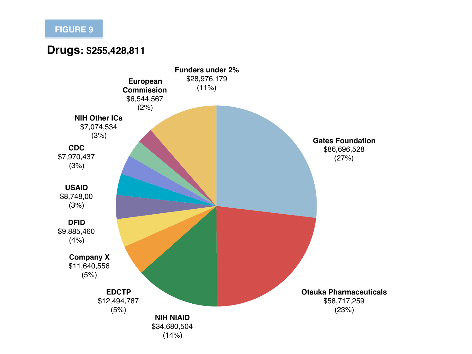#### **Drugs: \$255,428,811**

![](_page_9_Figure_2.jpeg)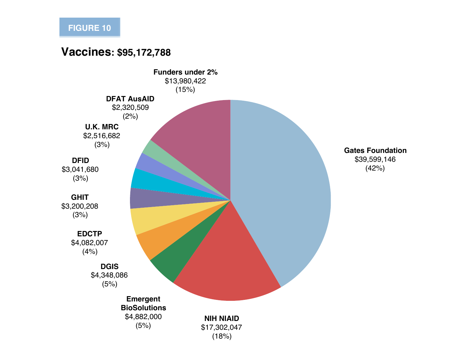## **Vaccines: \$95,172,788**

![](_page_10_Figure_2.jpeg)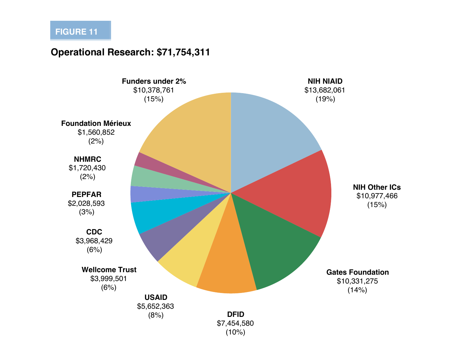#### **Operational Research: \$71,754,311**

![](_page_11_Figure_2.jpeg)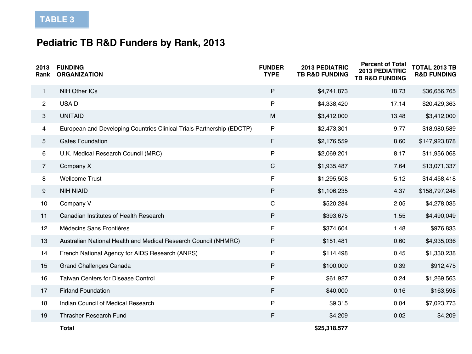## **Pediatric TB R&D Funders by Rank, 2013**

| 2013<br>Rank   | <b>FUNDING</b><br><b>ORGANIZATION</b>                                 | <b>FUNDER</b><br><b>TYPE</b> | <b>2013 PEDIATRIC</b><br><b>TB R&amp;D FUNDING</b> | <b>Percent of Total</b><br>2013 PEDIATRIC<br><b>TB R&amp;D FUNDING</b> | <b>TOTAL 2013 TB</b><br><b>R&amp;D FUNDING</b> |
|----------------|-----------------------------------------------------------------------|------------------------------|----------------------------------------------------|------------------------------------------------------------------------|------------------------------------------------|
| $\mathbf{1}$   | <b>NIH Other ICs</b>                                                  | $\mathsf{P}$                 | \$4,741,873                                        | 18.73                                                                  | \$36,656,765                                   |
| $2^{\circ}$    | <b>USAID</b>                                                          | P                            | \$4,338,420                                        | 17.14                                                                  | \$20,429,363                                   |
| 3              | <b>UNITAID</b>                                                        | M                            | \$3,412,000                                        | 13.48                                                                  | \$3,412,000                                    |
| 4              | European and Developing Countries Clinical Trials Partnership (EDCTP) | $\mathsf{P}$                 | \$2,473,301                                        | 9.77                                                                   | \$18,980,589                                   |
| 5              | <b>Gates Foundation</b>                                               | F                            | \$2,176,559                                        | 8.60                                                                   | \$147,923,878                                  |
| 6              | U.K. Medical Research Council (MRC)                                   | P                            | \$2,069,201                                        | 8.17                                                                   | \$11,956,068                                   |
| $\overline{7}$ | Company X                                                             | $\mathsf{C}$                 | \$1,935,487                                        | 7.64                                                                   | \$13,071,337                                   |
| 8              | <b>Wellcome Trust</b>                                                 | F                            | \$1,295,508                                        | 5.12                                                                   | \$14,458,418                                   |
| 9              | <b>NIH NIAID</b>                                                      | P                            | \$1,106,235                                        | 4.37                                                                   | \$158,797,248                                  |
| 10             | Company V                                                             | $\mathsf C$                  | \$520,284                                          | 2.05                                                                   | \$4,278,035                                    |
| 11             | Canadian Institutes of Health Research                                | P                            | \$393,675                                          | 1.55                                                                   | \$4,490,049                                    |
| 12             | <b>Médecins Sans Frontières</b>                                       | F                            | \$374,604                                          | 1.48                                                                   | \$976,833                                      |
| 13             | Australian National Health and Medical Research Council (NHMRC)       | P                            | \$151,481                                          | 0.60                                                                   | \$4,935,036                                    |
| 14             | French National Agency for AIDS Research (ANRS)                       | P                            | \$114,498                                          | 0.45                                                                   | \$1,330,238                                    |
| 15             | <b>Grand Challenges Canada</b>                                        | P                            | \$100,000                                          | 0.39                                                                   | \$912,475                                      |
| 16             | <b>Taiwan Centers for Disease Control</b>                             | $\mathsf{P}$                 | \$61,927                                           | 0.24                                                                   | \$1,269,563                                    |
| 17             | <b>Firland Foundation</b>                                             | F                            | \$40,000                                           | 0.16                                                                   | \$163,598                                      |
| 18             | Indian Council of Medical Research                                    | $\mathsf{P}$                 | \$9,315                                            | 0.04                                                                   | \$7,023,773                                    |
| 19             | <b>Thrasher Research Fund</b>                                         | F                            | \$4,209                                            | 0.02                                                                   | \$4,209                                        |
|                | <b>Total</b>                                                          |                              | \$25,318,577                                       |                                                                        |                                                |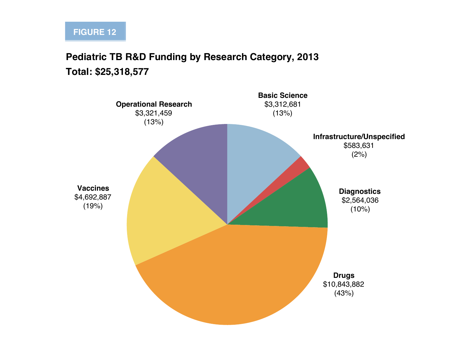## **Pediatric TB R&D Funding by Research Category, 2013 Total: \$25,318,577**

![](_page_13_Figure_2.jpeg)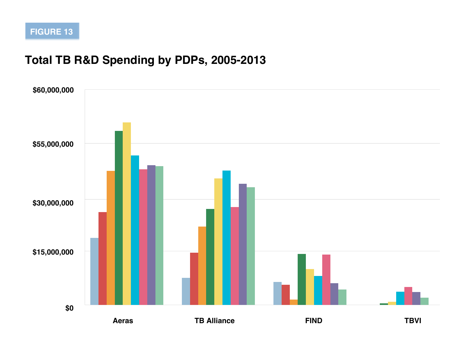## **Total TB R&D Spending by PDPs, 2005-2013**

**FIGURE 13**

![](_page_14_Figure_1.jpeg)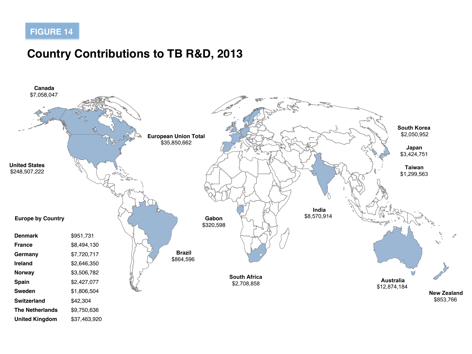## **Country Contributions to TB R&D, 2013**

![](_page_15_Figure_2.jpeg)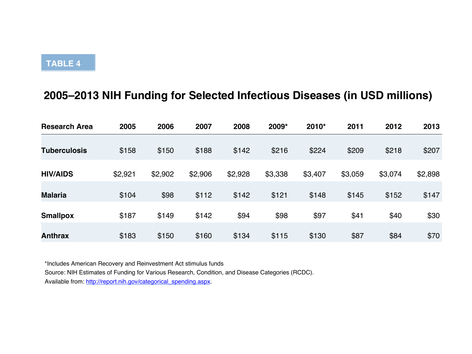## **2005–2013 NIH Funding for Selected Infectious Diseases (in USD millions)**

| <b>Research Area</b> | 2005    | 2006    | 2007    | 2008    | 2009*   | 2010*   | 2011    | 2012    | 2013    |
|----------------------|---------|---------|---------|---------|---------|---------|---------|---------|---------|
| <b>Tuberculosis</b>  | \$158   | \$150   | \$188   | \$142   | \$216   | \$224   | \$209   | \$218   | \$207   |
|                      |         |         |         |         |         |         |         |         |         |
| <b>HIV/AIDS</b>      | \$2,921 | \$2,902 | \$2,906 | \$2,928 | \$3,338 | \$3,407 | \$3,059 | \$3,074 | \$2,898 |
| <b>Malaria</b>       | \$104   | \$98    | \$112   | \$142   | \$121   | \$148   | \$145   | \$152   | \$147   |
| <b>Smallpox</b>      | \$187   | \$149   | \$142   | \$94    | \$98    | \$97    | \$41    | \$40    | \$30    |
| <b>Anthrax</b>       | \$183   | \$150   | \$160   | \$134   | \$115   | \$130   | \$87    | \$84    | \$70    |

\*Includes American Recovery and Reinvestment Act stimulus funds

Source: NIH Estimates of Funding for Various Research, Condition, and Disease Categories (RCDC).

Available from: http://report.nih.gov/categorical\_spending.aspx.